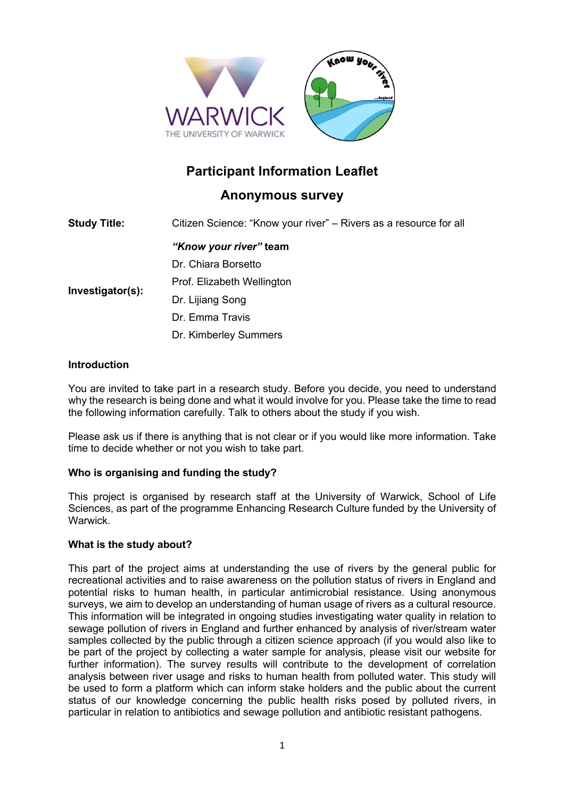

# **Participant Information Leaflet**

# **Anonymous survey**

| <b>Study Title:</b> | Citizen Science: "Know your river" – Rivers as a resource for all |
|---------------------|-------------------------------------------------------------------|
| Investigator(s):    | "Know your river" team                                            |
|                     | Dr. Chiara Borsetto                                               |
|                     | Prof. Elizabeth Wellington                                        |
|                     | Dr. Lijiang Song                                                  |
|                     | Dr. Emma Travis                                                   |
|                     | Dr. Kimberley Summers                                             |
|                     |                                                                   |

# **Introduction**

You are invited to take part in a research study. Before you decide, you need to understand why the research is being done and what it would involve for you. Please take the time to read the following information carefully. Talk to others about the study if you wish.

Please ask us if there is anything that is not clear or if you would like more information. Take time to decide whether or not you wish to take part.

# **Who is organising and funding the study?**

This project is organised by research staff at the University of Warwick, School of Life Sciences, as part of the programme Enhancing Research Culture funded by the University of Warwick.

# **What is the study about?**

This part of the project aims at understanding the use of rivers by the general public for recreational activities and to raise awareness on the pollution status of rivers in England and potential risks to human health, in particular antimicrobial resistance. Using anonymous surveys, we aim to develop an understanding of human usage of rivers as a cultural resource. This information will be integrated in ongoing studies investigating water quality in relation to sewage pollution of rivers in England and further enhanced by analysis of river/stream water samples collected by the public through a citizen science approach (if you would also like to be part of the project by collecting a water sample for analysis, please visit our website for further information). The survey results will contribute to the development of correlation analysis between river usage and risks to human health from polluted water. This study will be used to form a platform which can inform stake holders and the public about the current status of our knowledge concerning the public health risks posed by polluted rivers, in particular in relation to antibiotics and sewage pollution and antibiotic resistant pathogens.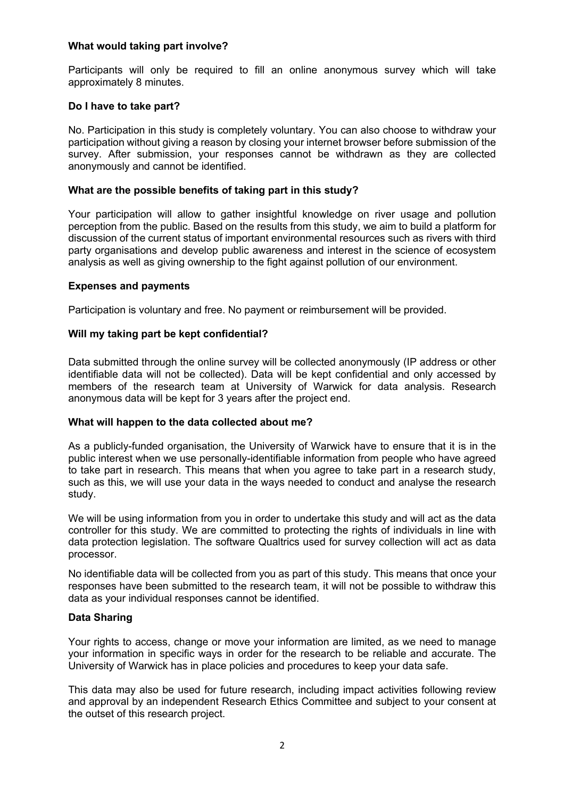# **What would taking part involve?**

Participants will only be required to fill an online anonymous survey which will take approximately 8 minutes.

# **Do I have to take part?**

No. Participation in this study is completely voluntary. You can also choose to withdraw your participation without giving a reason by closing your internet browser before submission of the survey. After submission, your responses cannot be withdrawn as they are collected anonymously and cannot be identified.

# **What are the possible benefits of taking part in this study?**

Your participation will allow to gather insightful knowledge on river usage and pollution perception from the public. Based on the results from this study, we aim to build a platform for discussion of the current status of important environmental resources such as rivers with third party organisations and develop public awareness and interest in the science of ecosystem analysis as well as giving ownership to the fight against pollution of our environment.

# **Expenses and payments**

Participation is voluntary and free. No payment or reimbursement will be provided.

# **Will my taking part be kept confidential?**

Data submitted through the online survey will be collected anonymously (IP address or other identifiable data will not be collected). Data will be kept confidential and only accessed by members of the research team at University of Warwick for data analysis. Research anonymous data will be kept for 3 years after the project end.

#### **What will happen to the data collected about me?**

As a publicly-funded organisation, the University of Warwick have to ensure that it is in the public interest when we use personally-identifiable information from people who have agreed to take part in research. This means that when you agree to take part in a research study, such as this, we will use your data in the ways needed to conduct and analyse the research study.

We will be using information from you in order to undertake this study and will act as the data controller for this study. We are committed to protecting the rights of individuals in line with data protection legislation. The software Qualtrics used for survey collection will act as data processor.

No identifiable data will be collected from you as part of this study. This means that once your responses have been submitted to the research team, it will not be possible to withdraw this data as your individual responses cannot be identified.

# **Data Sharing**

Your rights to access, change or move your information are limited, as we need to manage your information in specific ways in order for the research to be reliable and accurate. The University of Warwick has in place policies and procedures to keep your data safe.

This data may also be used for future research, including impact activities following review and approval by an independent Research Ethics Committee and subject to your consent at the outset of this research project.